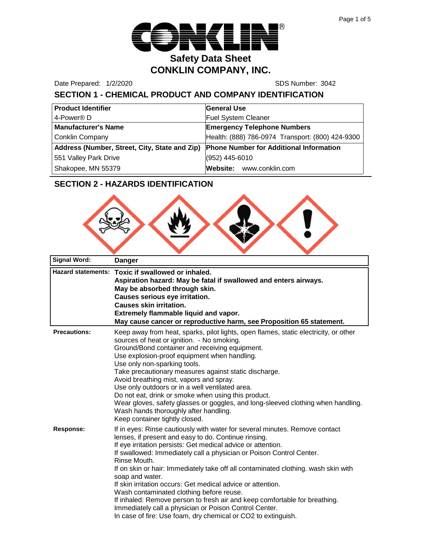

Date Prepared: 1/2/2020 SDS Number: 3042

# **SECTION 1 - CHEMICAL PRODUCT AND COMPANY IDENTIFICATION**

| <b>Product Identifier</b>                     | <b>General Use</b>                               |
|-----------------------------------------------|--------------------------------------------------|
| 4-Power <sup>®</sup> D                        | <b>Fuel System Cleaner</b>                       |
| <b>Manufacturer's Name</b>                    | <b>Emergency Telephone Numbers</b>               |
| <b>Conklin Company</b>                        | Health: (888) 786-0974 Transport: (800) 424-9300 |
| Address (Number, Street, City, State and Zip) | <b>Phone Number for Additional Information</b>   |
| 551 Valley Park Drive                         | (952) 445-6010                                   |
| Shakopee, MN 55379                            | Website: www.conklin.com                         |

# **SECTION 2 - HAZARDS IDENTIFICATION**



| <b>Signal Word:</b> | <b>Danger</b>                                                                                                                                                                                                                                                                                                                                                                                                                                                                                                                                                                                                                                                                                                            |
|---------------------|--------------------------------------------------------------------------------------------------------------------------------------------------------------------------------------------------------------------------------------------------------------------------------------------------------------------------------------------------------------------------------------------------------------------------------------------------------------------------------------------------------------------------------------------------------------------------------------------------------------------------------------------------------------------------------------------------------------------------|
|                     | Hazard statements: Toxic if swallowed or inhaled.<br>Aspiration hazard: May be fatal if swallowed and enters airways.<br>May be absorbed through skin.<br><b>Causes serious eye irritation.</b><br><b>Causes skin irritation.</b><br>Extremely flammable liquid and vapor.<br>May cause cancer or reproductive harm, see Proposition 65 statement.                                                                                                                                                                                                                                                                                                                                                                       |
| <b>Precautions:</b> | Keep away from heat, sparks, pilot lights, open flames, static electricity, or other<br>sources of heat or ignition. - No smoking.<br>Ground/Bond container and receiving equipment.<br>Use explosion-proof equipment when handling.<br>Use only non-sparking tools.<br>Take precautionary measures against static discharge.<br>Avoid breathing mist, vapors and spray.<br>Use only outdoors or in a well ventilated area.<br>Do not eat, drink or smoke when using this product.<br>Wear gloves, safety glasses or goggles, and long-sleeved clothing when handling.<br>Wash hands thoroughly after handling.<br>Keep container tightly closed.                                                                        |
| <b>Response:</b>    | If in eyes: Rinse cautiously with water for several minutes. Remove contact<br>lenses, if present and easy to do. Continue rinsing.<br>If eye irritation persists: Get medical advice or attention.<br>If swallowed: Immediately call a physician or Poison Control Center.<br>Rinse Mouth.<br>If on skin or hair: Immediately take off all contaminated clothing. wash skin with<br>soap and water.<br>If skin irritation occurs: Get medical advice or attention.<br>Wash contaminated clothing before reuse.<br>If inhaled: Remove person to fresh air and keep comfortable for breathing.<br>Immediately call a physician or Poison Control Center.<br>In case of fire: Use foam, dry chemical or CO2 to extinguish. |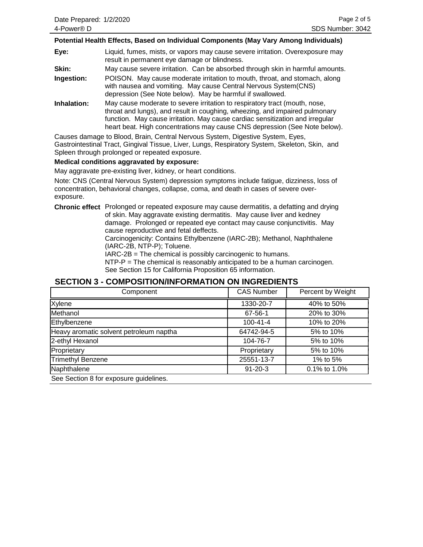#### **Potential Health Effects, Based on Individual Components (May Vary Among Individuals)**

**Eye:** Liquid, fumes, mists, or vapors may cause severe irritation. Overexposure may result in permanent eye damage or blindness.

**Skin:** May cause severe irritation. Can be absorbed through skin in harmful amounts.

- **Ingestion:** POISON. May cause moderate irritation to mouth, throat, and stomach, along with nausea and vomiting. May cause Central Nervous System(CNS) depression (See Note below). May be harmful if swallowed.
- **Inhalation:** May cause moderate to severe irritation to respiratory tract (mouth, nose, throat and lungs), and result in coughing, wheezing, and impaired pulmonary function. May cause irritation. May cause cardiac sensitization and irregular heart beat. High concentrations may cause CNS depression (See Note below).

Causes damage to Blood, Brain, Central Nervous System, Digestive System, Eyes, Gastrointestinal Tract, Gingival Tissue, Liver, Lungs, Respiratory System, Skeleton, Skin, and Spleen through prolonged or repeated exposure.

#### **Medical conditions aggravated by exposure:**

May aggravate pre-existing liver, kidney, or heart conditions.

Note: CNS (Central Nervous System) depression symptoms include fatigue, dizziness, loss of concentration, behavioral changes, collapse, coma, and death in cases of severe overexposure.

**Chronic effect** Prolonged or repeated exposure may cause dermatitis, a defatting and drying of skin. May aggravate existing dermatitis. May cause liver and kedney damage. Prolonged or repeated eye contact may cause conjunctivitis. May cause reproductive and fetal deffects.

> Carcinogenicity: Contains Ethylbenzene (IARC-2B); Methanol, Naphthalene (IARC-2B, NTP-P); Toluene.

IARC-2B = The chemical is possibly carcinogenic to humans.

NTP-P = The chemical is reasonably anticipated to be a human carcinogen. See Section 15 for California Proposition 65 information.

#### **SECTION 3 - COMPOSITION/INFORMATION ON INGREDIENTS**

| Component                               | <b>CAS Number</b> | Percent by Weight |
|-----------------------------------------|-------------------|-------------------|
| Xylene                                  | 1330-20-7         | 40% to 50%        |
| Methanol                                | 67-56-1           | 20% to 30%        |
| Ethylbenzene                            | $100 - 41 - 4$    | 10% to 20%        |
| Heavy aromatic solvent petroleum naptha | 64742-94-5        | 5% to 10%         |
| 2-ethyl Hexanol                         | 104-76-7          | 5% to 10%         |
| Proprietary                             | Proprietary       | 5% to 10%         |
| <b>Trimethyl Benzene</b>                | 25551-13-7        | 1% to 5%          |
| Naphthalene                             | $91 - 20 - 3$     | 0.1% to 1.0%      |
| See Section 8 for exposure guidelines.  |                   |                   |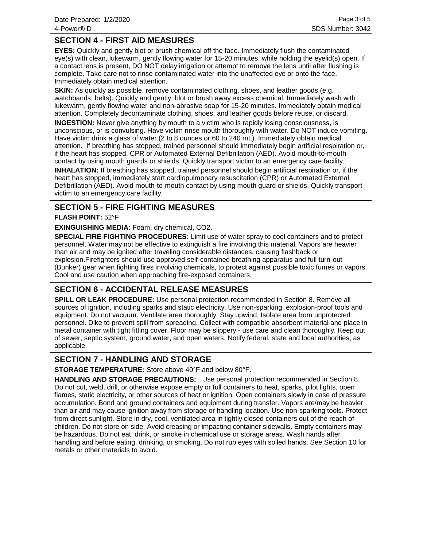# **SECTION 4 - FIRST AID MEASURES**

**EYES:** Quickly and gently blot or brush chemical off the face. Immediately flush the contaminated eye(s) with clean, lukewarm, gently flowing water for 15-20 minutes, while holding the eyelid(s) open. If a contact lens is present, DO NOT delay irrigation or attempt to remove the lens until after flushing is complete. Take care not to rinse contaminated water into the unaffected eye or onto the face. Immediately obtain medical attention.

**SKIN:** As quickly as possible, remove contaminated clothing, shoes, and leather goods (e.g. watchbands, belts). Quickly and gently, blot or brush away excess chemical. Immediately wash with lukewarm, gently flowing water and non-abrasive soap for 15-20 minutes. Immediately obtain medical attention. Completely decontaminate clothing, shoes, and leather goods before reuse, or discard.

**INGESTION:** Never give anything by mouth to a victim who is rapidly losing consciousness, is unconscious, or is convulsing. Have victim rinse mouth thoroughly with water. Do NOT induce vomiting. Have victim drink a glass of water (2 to 8 ounces or 60 to 240 mL). Immediately obtain medical attention. If breathing has stopped, trained personnel should immediately begin artificial respiration or, if the heart has stopped, CPR or Automated External Defibrillation (AED). Avoid mouth-to-mouth contact by using mouth guards or shields. Quickly transport victim to an emergency care facility.

**INHALATION:** If breathing has stopped, trained personnel should begin artificial respiration or, if the heart has stopped, immediately start cardiopulmonary resuscitation (CPR) or Automated External Defibrillation (AED). Avoid mouth-to-mouth contact by using mouth guard or shields. Quickly transport victim to an emergency care facility.

#### **SECTION 5 - FIRE FIGHTING MEASURES**

#### **FLASH POINT:** 52°F

**EXINGUISHING MEDIA:** Foam, dry chemical, CO2.

**SPECIAL FIRE FIGHTING PROCEDURES:** Limit use of water spray to cool containers and to protect personnel. Water may not be effective to extinguish a fire involving this material. Vapors are heavier than air and may be ignited after traveling considerable distances, causing flashback or explosion.Firefighters should use approved self-contained breathing apparatus and full turn-out (Bunker) gear when fighting fires involving chemicals, to protect against possible toxic fumes or vapors. Cool and use caution when approaching fire-exposed containers.

# **SECTION 6 - ACCIDENTAL RELEASE MEASURES**

**SPILL OR LEAK PROCEDURE:** Use personal protection recommended in Section 8. Remove all sources of ignition, including sparks and static electricity. Use non-sparking, explosion-proof tools and equipment. Do not vacuum. Ventilate area thoroughly. Stay upwind. Isolate area from unprotected personnel. Dike to prevent spill from spreading. Collect with compatible absorbent material and place in metal container with tight fitting cover. Floor may be slippery - use care and clean thoroughly. Keep out of sewer, septic system, ground water, and open waters. Notify federal, state and local authorities, as applicable.

# **SECTION 7 - HANDLING AND STORAGE**

**STORAGE TEMPERATURE:** Store above 40°F and below 80°F.

HANDLING AND STORAGE PRECAUTIONS: Use personal protection recommended in Section 8. Do not cut, weld, drill, or otherwise expose empty or full containers to heat, sparks, pilot lights, open flames, static electricity, or other sources of heat or ignition. Open containers slowly in case of pressure accumulation. Bond and ground containers and equipment during transfer. Vapors are/may be heavier than air and may cause ignition away from storage or handling location. Use non-sparking tools. Protect from direct sunlight. Store in dry, cool, ventilated area in tightly closed containers out of the reach of children. Do not store on side. Avoid creasing or impacting container sidewalls. Empty containers may be hazardous. Do not eat, drink, or smoke in chemical use or storage areas. Wash hands after handling and before eating, drinking, or smoking. Do not rub eyes with soiled hands. See Section 10 for metals or other materials to avoid.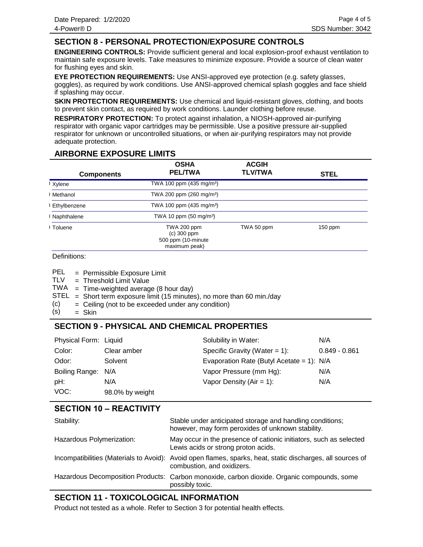# **SECTION 8 - PERSONAL PROTECTION/EXPOSURE CONTROLS**

**ENGINEERING CONTROLS:** Provide sufficient general and local explosion-proof exhaust ventilation to maintain safe exposure levels. Take measures to minimize exposure. Provide a source of clean water for flushing eyes and skin.

**EYE PROTECTION REQUIREMENTS:** Use ANSI-approved eye protection (e.g. safety glasses, goggles), as required by work conditions. Use ANSI-approved chemical splash goggles and face shield if splashing may occur.

**SKIN PROTECTION REQUIREMENTS:** Use chemical and liquid-resistant gloves, clothing, and boots to prevent skin contact, as required by work conditions. Launder clothing before reuse.

**RESPIRATORY PROTECTION:** To protect against inhalation, a NIOSH-approved air-purifying respirator with organic vapor cartridges may be permissible. Use a positive pressure air-supplied respirator for unknown or uncontrolled situations, or when air-purifying respirators may not provide adequate protection.

### **AIRBORNE EXPOSURE LIMITS**

| <b>Components</b> | <b>OSHA</b><br><b>PEL/TWA</b>                                        | <b>ACGIH</b><br><b>TLV/TWA</b> | <b>STEL</b> |
|-------------------|----------------------------------------------------------------------|--------------------------------|-------------|
| Xylene            | TWA 100 ppm (435 mg/m <sup>3</sup> )                                 |                                |             |
| Methanol          | TWA 200 ppm (260 mg/m <sup>3</sup> )                                 |                                |             |
| Ethylbenzene      | TWA 100 ppm (435 mg/m <sup>3</sup> )                                 |                                |             |
| Naphthalene       | TWA 10 ppm $(50 \text{ mg/m}^3)$                                     |                                |             |
| Toluene           | TWA 200 ppm<br>$(c)$ 300 ppm<br>500 ppm (10-minute)<br>maximum peak) | TWA 50 ppm                     | $150$ ppm   |

Definitions:

| PEL | = Permissible Exposure Limit |  |
|-----|------------------------------|--|
|     |                              |  |

Threshold Limit Value = TLV

TWA = Time-weighted average (8 hour day)

- $STEL = Short term exposure limit (15 minutes), no more than 60 min/day$
- Ceiling (not to be exceeded under any condition) = (c)
- Skin = (s)

# **SECTION 9 - PHYSICAL AND CHEMICAL PROPERTIES**

| Physical Form: Liquid |                 | Solubility in Water:                        | N/A             |
|-----------------------|-----------------|---------------------------------------------|-----------------|
| Color:                | Clear amber     | Specific Gravity (Water = $1$ ):            | $0.849 - 0.861$ |
| Odor:                 | Solvent         | Evaporation Rate (Butyl Acetate = 1): $N/A$ |                 |
| Boiling Range: N/A    |                 | Vapor Pressure (mm Hg):                     | N/A             |
| pH:                   | N/A             | Vapor Density $(Air = 1)$ :                 | N/A             |
| VOC:                  | 98.0% by weight |                                             |                 |

#### **SECTION 10 – REACTIVITY**

| Stability:                | Stable under anticipated storage and handling conditions;<br>however, may form peroxides of unknown stability.                           |
|---------------------------|------------------------------------------------------------------------------------------------------------------------------------------|
| Hazardous Polymerization: | May occur in the presence of cationic initiators, such as selected<br>Lewis acids or strong proton acids.                                |
|                           | Incompatibilities (Materials to Avoid): Avoid open flames, sparks, heat, static discharges, all sources of<br>combustion, and oxidizers. |
|                           | Hazardous Decomposition Products: Carbon monoxide, carbon dioxide. Organic compounds, some<br>possibly toxic.                            |

# **SECTION 11 - TOXICOLOGICAL INFORMATION**

Product not tested as a whole. Refer to Section 3 for potential health effects.